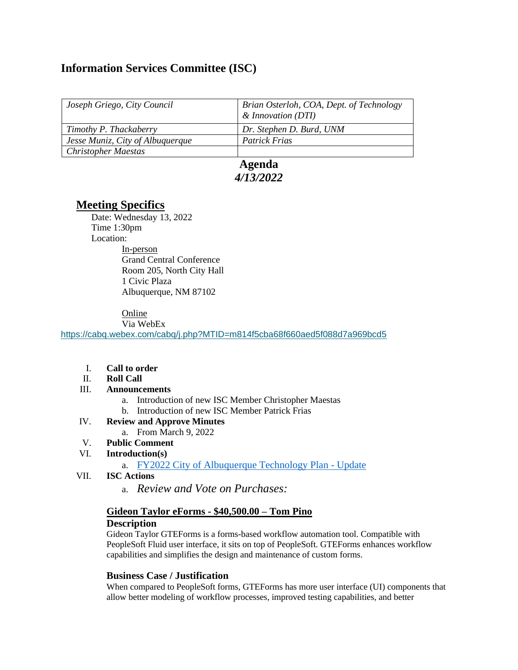# **Information Services Committee (ISC)**

| Joseph Griego, City Council      | Brian Osterloh, COA, Dept. of Technology<br>& Innovation (DTI) |
|----------------------------------|----------------------------------------------------------------|
| Timothy P. Thackaberry           | Dr. Stephen D. Burd, UNM                                       |
| Jesse Muniz, City of Albuquerque | <b>Patrick Frias</b>                                           |
| <b>Christopher Maestas</b>       |                                                                |

## **Agenda** *4/13/2022*

## **Meeting Specifics**

Date: Wednesday 13, 2022 Time 1:30pm Location: In-person Grand Central Conference Room 205, North City Hall 1 Civic Plaza Albuquerque, NM 87102

### Online

Via WebEx

<https://cabq.webex.com/cabq/j.php?MTID=m814f5cba68f660aed5f088d7a969bcd5>

- I. **Call to order**
- II. **Roll Call**

### III. **Announcements**

- a. Introduction of new ISC Member Christopher Maestas
- b. Introduction of new ISC Member Patrick Frias
- IV. **Review and Approve Minutes** 
	- a. From March 9, 2022
- V. **Public Comment**
- VI. **Introduction(s)**

a. [FY2022 City of Albuquerque Technology Plan -](https://www.cabq.gov/technology-innovation/documents/fy22-it-strategic-plan-draft.pdf) Update

- VII. **ISC Actions**
	- a. *Review and Vote on Purchases:*

## **Gideon Taylor eForms - \$40,500.00 – Tom Pino Description**

Gideon Taylor GTEForms is a forms-based workflow automation tool. Compatible with PeopleSoft Fluid user interface, it sits on top of PeopleSoft. GTEForms enhances workflow capabilities and simplifies the design and maintenance of custom forms.

### **Business Case / Justification**

When compared to PeopleSoft forms, GTEForms has more user interface (UI) components that allow better modeling of workflow processes, improved testing capabilities, and better